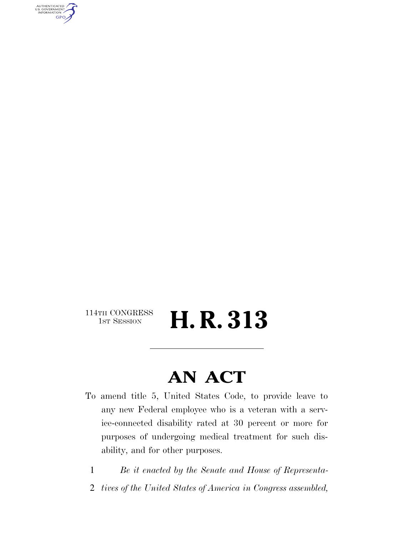AUTHENTICATED<br>U.S. GOVERNMENT<br>INFORMATION **GPO** 

114TH CONGRESS<br>1st Session

H. R. 313

### **AN ACT**

- To amend title 5, United States Code, to provide leave to any new Federal employee who is a veteran with a service-connected disability rated at 30 percent or more for purposes of undergoing medical treatment for such disability, and for other purposes.
	- 1 *Be it enacted by the Senate and House of Representa-*
	- 2 *tives of the United States of America in Congress assembled,*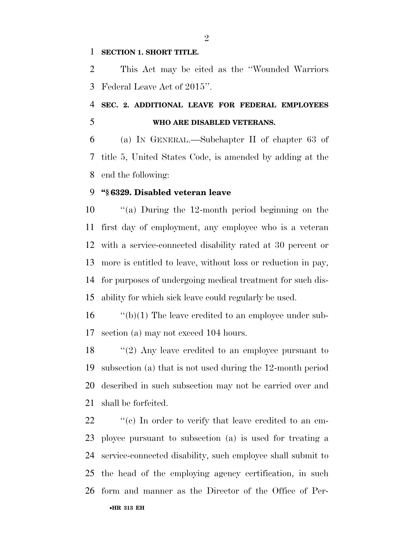#### **SECTION 1. SHORT TITLE.**

 This Act may be cited as the ''Wounded Warriors Federal Leave Act of 2015''.

### **SEC. 2. ADDITIONAL LEAVE FOR FEDERAL EMPLOYEES WHO ARE DISABLED VETERANS.**

 (a) IN GENERAL.—Subchapter II of chapter 63 of title 5, United States Code, is amended by adding at the end the following:

#### **''§ 6329. Disabled veteran leave**

 ''(a) During the 12-month period beginning on the first day of employment, any employee who is a veteran with a service-connected disability rated at 30 percent or more is entitled to leave, without loss or reduction in pay, for purposes of undergoing medical treatment for such dis-ability for which sick leave could regularly be used.

 ''(b)(1) The leave credited to an employee under sub-section (a) may not exceed 104 hours.

 ''(2) Any leave credited to an employee pursuant to subsection (a) that is not used during the 12-month period described in such subsection may not be carried over and shall be forfeited.

•**HR 313 EH**  $\cdot$  "(c) In order to verify that leave credited to an em- ployee pursuant to subsection (a) is used for treating a service-connected disability, such employee shall submit to the head of the employing agency certification, in such form and manner as the Director of the Office of Per-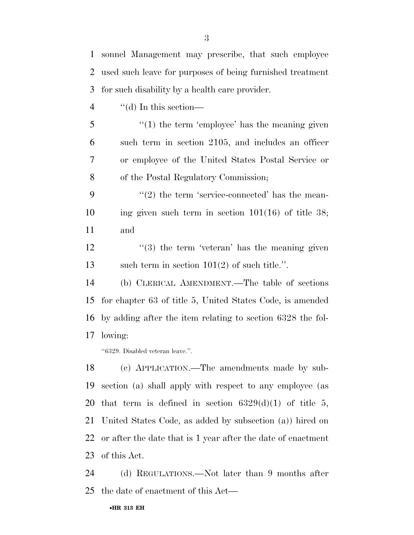| 1              | sonnel Management may prescribe, that such employee        |
|----------------|------------------------------------------------------------|
| 2              | used such leave for purposes of being furnished treatment  |
| 3              | for such disability by a health care provider.             |
| $\overline{4}$ | $\lq\lq$ (d) In this section—                              |
| 5              | $\lq(1)$ the term 'employee' has the meaning given         |
| 6              | such term in section 2105, and includes an officer         |
| 7              | or employee of the United States Postal Service or         |
| 8              | of the Postal Regulatory Commission;                       |
| 9              | $\lq(2)$ the term 'service-connected' has the mean-        |
| 10             | ing given such term in section $101(16)$ of title 38;      |
| 11             | and                                                        |
| 12             | $\cdot\cdot$ (3) the term 'veteran' has the meaning given  |
| 13             | such term in section $101(2)$ of such title.".             |
| 14             | (b) CLERICAL AMENDMENT.—The table of sections              |
| 15             | for chapter 63 of title 5, United States Code, is amended  |
| 16             | by adding after the item relating to section 6328 the fol- |
| 17             | lowing:                                                    |
|                | "6329. Disabled veteran leave.".                           |
| 18             | (c) APPLICATION.—The amendments made by sub-               |
| 19             | section (a) shall apply with respect to any employee (as   |
| 20             | that term is defined in section $6329(d)(1)$ of title 5,   |

 United States Code, as added by subsection (a)) hired on or after the date that is 1 year after the date of enactment of this Act.

 (d) REGULATIONS.—Not later than 9 months after the date of enactment of this Act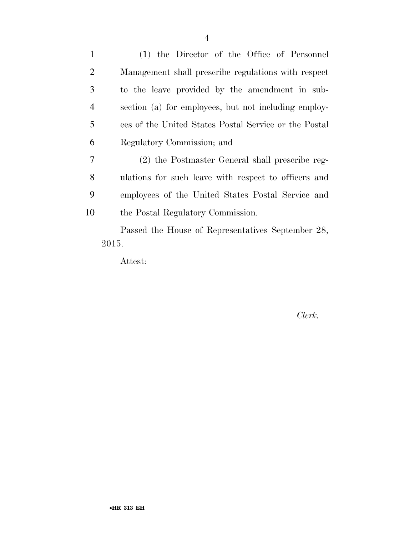(1) the Director of the Office of Personnel Management shall prescribe regulations with respect to the leave provided by the amendment in sub- section (a) for employees, but not including employ- ees of the United States Postal Service or the Postal Regulatory Commission; and (2) the Postmaster General shall prescribe reg-

 ulations for such leave with respect to officers and employees of the United States Postal Service and the Postal Regulatory Commission.

Passed the House of Representatives September 28, 2015.

Attest:

*Clerk.*